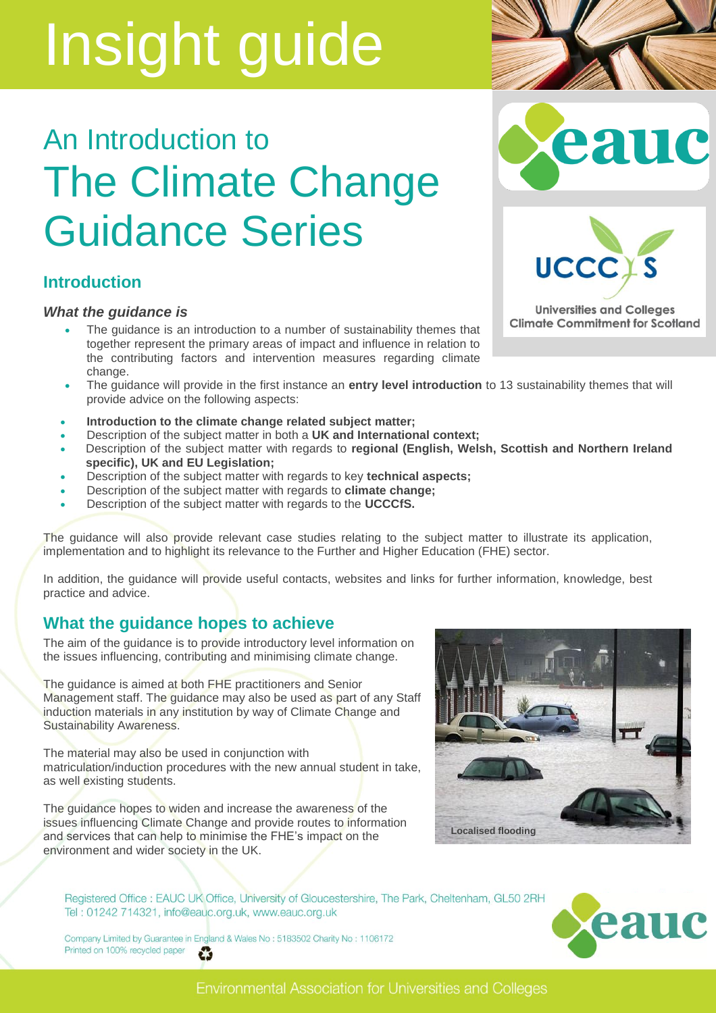# An Introduction to The Climate Change Guidance Series

### **Introduction**

#### *What the guidance is*

- The guidance is an introduction to a number of sustainability themes that together represent the primary areas of impact and influence in relation to the contributing factors and intervention measures regarding climate change.
- The guidance will provide in the first instance an **entry level introduction** to 13 sustainability themes that will provide advice on the following aspects:
- **Introduction to the climate change related subject matter;**
- Description of the subject matter in both a **UK and International context;**
- Description of the subject matter with regards to **regional (English, Welsh, Scottish and Northern Ireland specific), UK and EU Legislation;**
- Description of the subject matter with regards to key **technical aspects;**
- Description of the subject matter with regards to **climate change;**
- Description of the subject matter with regards to the **UCCCfS.**

The guidance will also provide relevant case studies relating to the subject matter to illustrate its application, implementation and to highlight its relevance to the Further and Higher Education (FHE) sector.

In addition, the guidance will provide useful contacts, websites and links for further information, knowledge, best practice and advice.

## **What the guidance hopes to achieve**

The aim of the guidance is to provide introductory level information on the issues influencing, contributing and minimising climate change.

The guidance is aimed at both FHE practitioners and Senior Management staff. The guidance may also be used as part of any Staff induction materials in any institution by way of Climate Change and Sustainability Awareness.

The material may also be used in conjunction with matriculation/induction procedures with the new annual student in take, as well existing students.

The guidance hopes to widen and increase the awareness of the issues influencing Climate Change and provide routes to information and services that can help to minimise the FHE's impact on the environment and wider society in the UK.



Registered Office : EAUC UK Office, University of Gloucestershire, The Park, Cheltenham, GL50 2RH Tel: 01242 714321, info@eauc.org.uk, www.eauc.org.uk

Company Limited by Guarantee in England & Wales No: 5183502 Charity No: 1106172 Printed on 100% recycled paper Ũ

eau



**Universities and Colleges Climate Commitment for Scotland** 

**UCCC** 





**Environmental Association for Universities and Colleges**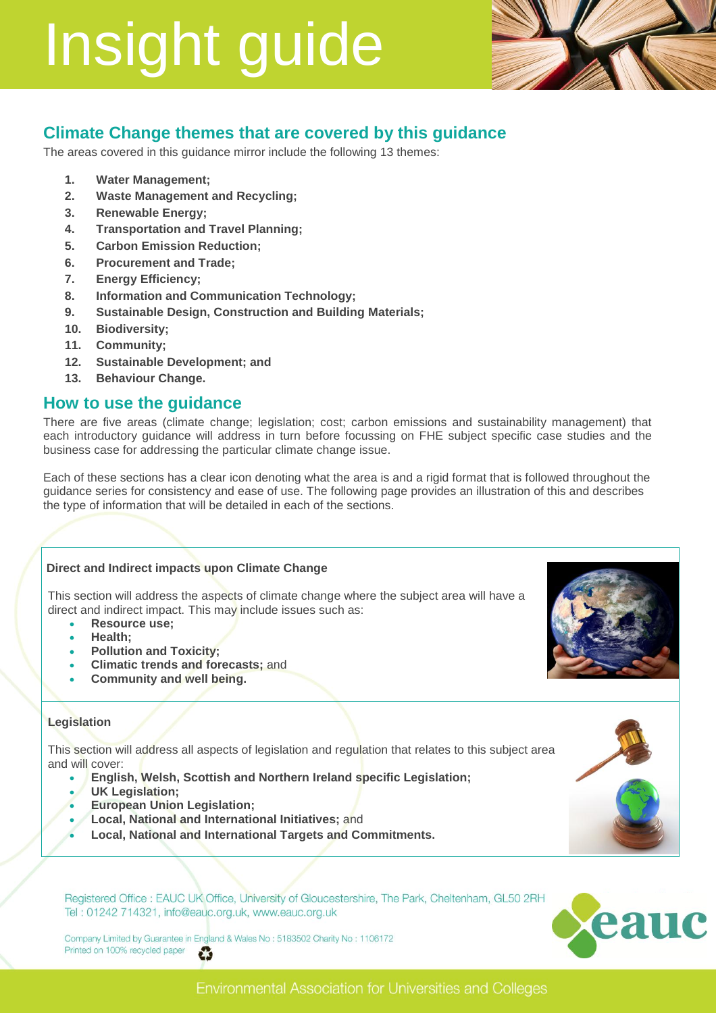

# **Climate Change themes that are covered by this guidance**

The areas covered in this guidance mirror include the following 13 themes:

- **1. Water Management;**
- **2. Waste Management and Recycling;**
- **3. Renewable Energy;**
- **4. Transportation and Travel Planning;**
- **5. Carbon Emission Reduction;**
- **6. Procurement and Trade;**
- **7. Energy Efficiency;**
- **8. Information and Communication Technology;**
- **9. Sustainable Design, Construction and Building Materials;**
- **10. Biodiversity;**
- **11. Community;**
- **12. Sustainable Development; and**
- **13. Behaviour Change.**

#### **How to use the guidance**

There are five areas (climate change; legislation; cost; carbon emissions and sustainability management) that each introductory guidance will address in turn before focussing on FHE subject specific case studies and the business case for addressing the particular climate change issue.

Each of these sections has a clear icon denoting what the area is and a rigid format that is followed throughout the guidance series for consistency and ease of use. The following page provides an illustration of this and describes the type of information that will be detailed in each of the sections.

#### **Direct and Indirect impacts upon Climate Change**

This section will address the aspects of climate change where the subject area will have a direct and indirect impact. This may include issues such as:

- **Resource use;**
- **Health;**
- **Pollution and Toxicity;**
- **Climatic trends and forecasts;** and
- **Community and well being.**

#### **Legislation**

This section will address all aspects of legislation and regulation that relates to this subject area and will cover:

- **English, Welsh, Scottish and Northern Ireland specific Legislation;**
- **UK Legislation;**
- **European Union Legislation;**
- **Local, National and International Initiatives;** and
- **Local, National and International Targets and Commitments.**

Registered Office : EAUC UK Office, University of Gloucestershire, The Park, Cheltenham, GL50 2RH Tel: 01242 714321, info@eauc.org.uk, www.eauc.org.uk

Company Limited by Guarantee in England & Wales No: 5183502 Charity No: 1106172 Printed on 100% recycled paper Ũ







#### **Environmental Association for Universities and Colleges**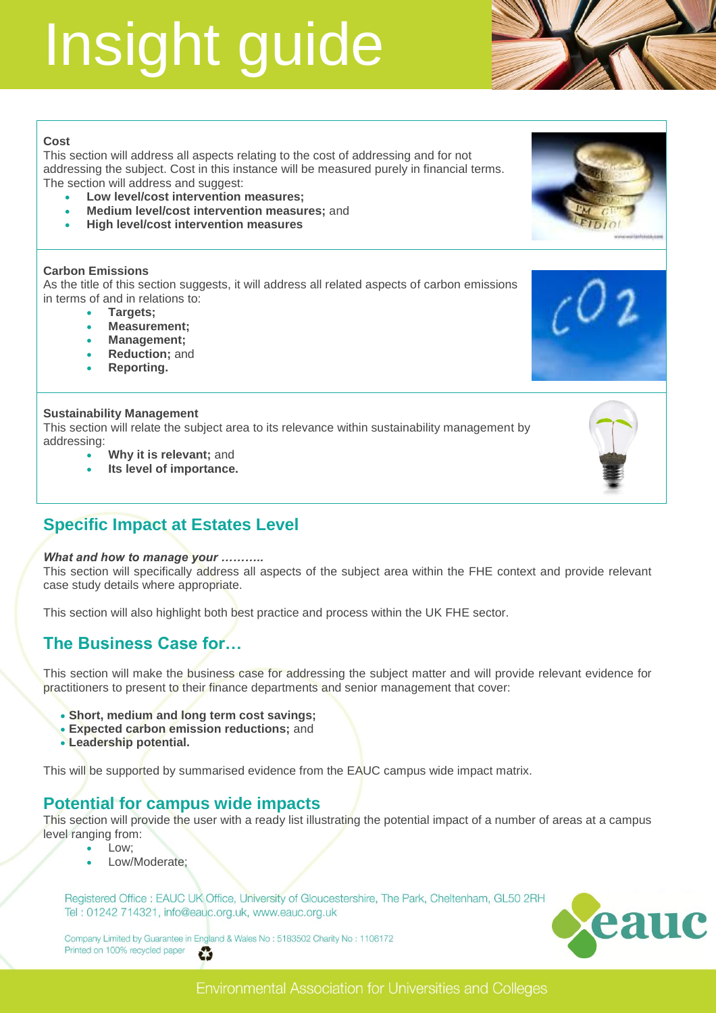

#### **Cost**

This section will address all aspects relating to the cost of addressing and for not addressing the subject. Cost in this instance will be measured purely in financial terms. The section will address and suggest:

- **Low level/cost intervention measures;**
- **Medium level/cost intervention measures;** and
- **High level/cost intervention measures**

#### **Carbon Emissions**

As the title of this section suggests, it will address all related aspects of carbon emissions in terms of and in relations to:

- **Targets;**
- **Measurement;**
- **Management;**
- **Reduction;** and
- **Reporting.**

#### **Sustainability Management**

This section will relate the subject area to its relevance within sustainability management by addressing:

- **Why it is relevant;** and
- **Its level of importance.**

## **Specific Impact at Estates Level**

#### *What and how to manage your ………..*

This section will specifically address all aspects of the subject area within the FHE context and provide relevant case study details where appropriate.

This section will also highlight both best practice and process within the UK FHE sector.

### **The Business Case for…**

This section will make the business case for addressing the subject matter and will provide relevant evidence for practitioners to present to their finance departments and senior management that cover:

- **Short, medium and long term cost savings;**
- **Expected carbon emission reductions;** and
- **Leadership potential.**

This will be supported by summarised evidence from the EAUC campus wide impact matrix.

### **Potential for campus wide impacts**

This section will provide the user with a ready list illustrating the potential impact of a number of areas at a campus level ranging from:

- Low;
- Low/Moderate;

Registered Office : EAUC UK Office, University of Gloucestershire, The Park, Cheltenham, GL50 2RH Tel: 01242 714321, info@eauc.org.uk, www.eauc.org.uk

Company Limited by Guarantee in England & Wales No: 5183502 Charity No: 1106172 Printed on 100% recycled paper Ũ